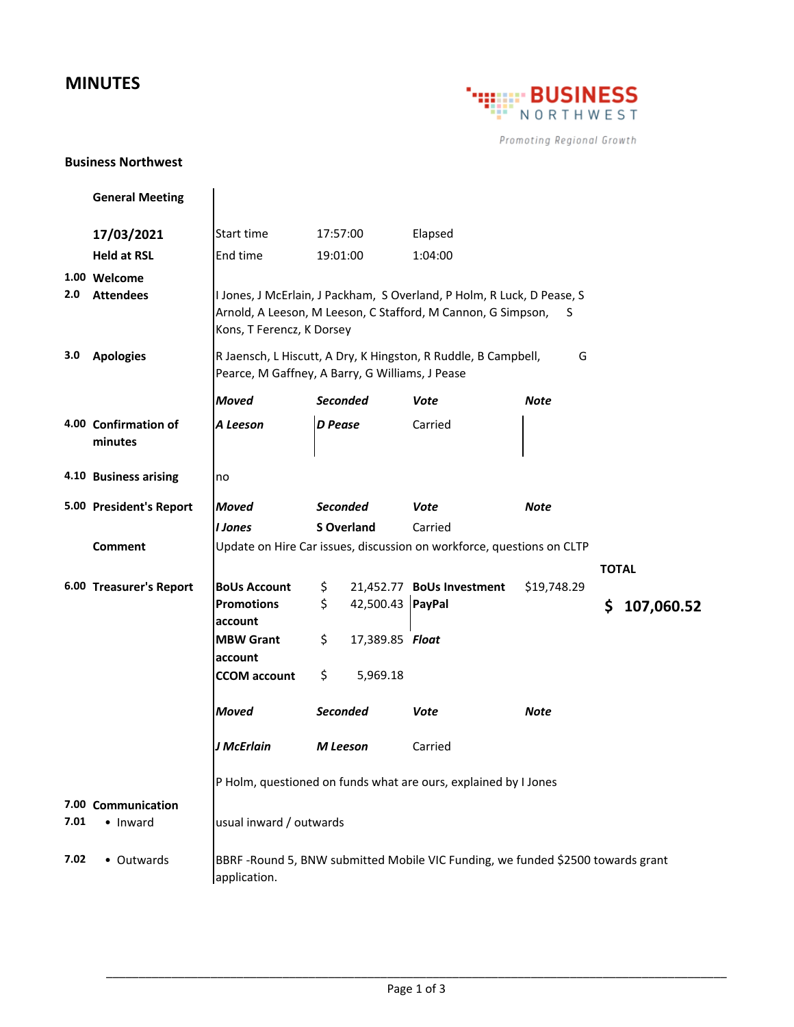## **MINUTES**



Promoting Regional Growth

## **Business Northwest**

|      | <b>General Meeting</b>           |                                                                                                                                                                          |                 |                   |                           |             |              |            |
|------|----------------------------------|--------------------------------------------------------------------------------------------------------------------------------------------------------------------------|-----------------|-------------------|---------------------------|-------------|--------------|------------|
|      | 17/03/2021                       | Start time                                                                                                                                                               | 17:57:00        |                   | Elapsed                   |             |              |            |
|      | <b>Held at RSL</b>               | End time                                                                                                                                                                 | 19:01:00        |                   | 1:04:00                   |             |              |            |
| 2.0  | 1.00 Welcome<br><b>Attendees</b> | I Jones, J McErlain, J Packham, S Overland, P Holm, R Luck, D Pease, S<br>Arnold, A Leeson, M Leeson, C Stafford, M Cannon, G Simpson,<br>S<br>Kons, T Ferencz, K Dorsey |                 |                   |                           |             |              |            |
| 3.0  | <b>Apologies</b>                 | R Jaensch, L Hiscutt, A Dry, K Hingston, R Ruddle, B Campbell,<br>G<br>Pearce, M Gaffney, A Barry, G Williams, J Pease                                                   |                 |                   |                           |             |              |            |
|      |                                  | <b>Moved</b>                                                                                                                                                             | <b>Seconded</b> |                   | Vote                      | Note        |              |            |
|      | 4.00 Confirmation of<br>minutes  | A Leeson                                                                                                                                                                 | <b>D</b> Pease  |                   | Carried                   |             |              |            |
|      | 4.10 Business arising            | no                                                                                                                                                                       |                 |                   |                           |             |              |            |
|      | 5.00 President's Report          | <b>Moved</b>                                                                                                                                                             | <b>Seconded</b> |                   | Vote                      | <b>Note</b> |              |            |
|      |                                  | I Jones                                                                                                                                                                  |                 | <b>S</b> Overland | Carried                   |             |              |            |
|      | Comment                          | Update on Hire Car issues, discussion on workforce, questions on CLTP                                                                                                    |                 |                   |                           |             |              |            |
|      |                                  |                                                                                                                                                                          |                 |                   |                           |             | <b>TOTAL</b> |            |
|      | 6.00 Treasurer's Report          | <b>BoUs Account</b>                                                                                                                                                      | \$.             |                   | 21,452.77 BoUs Investment | \$19,748.29 |              |            |
|      |                                  | <b>Promotions</b><br>account                                                                                                                                             | \$              | 42,500.43 PayPal  |                           |             | \$           | 107,060.52 |
|      |                                  | <b>MBW Grant</b><br>account                                                                                                                                              | \$              | 17,389.85 Float   |                           |             |              |            |
|      |                                  | <b>CCOM</b> account                                                                                                                                                      | \$              | 5,969.18          |                           |             |              |            |
|      |                                  | <b>Moved</b>                                                                                                                                                             | <b>Seconded</b> |                   | Vote                      | Note        |              |            |
|      |                                  | J McErlain                                                                                                                                                               | M Leeson        |                   | Carried                   |             |              |            |
|      |                                  | P Holm, questioned on funds what are ours, explained by I Jones                                                                                                          |                 |                   |                           |             |              |            |
| 7.01 | 7.00 Communication<br>• Inward   | usual inward / outwards                                                                                                                                                  |                 |                   |                           |             |              |            |
| 7.02 | • Outwards                       | BBRF-Round 5, BNW submitted Mobile VIC Funding, we funded \$2500 towards grant<br>application.                                                                           |                 |                   |                           |             |              |            |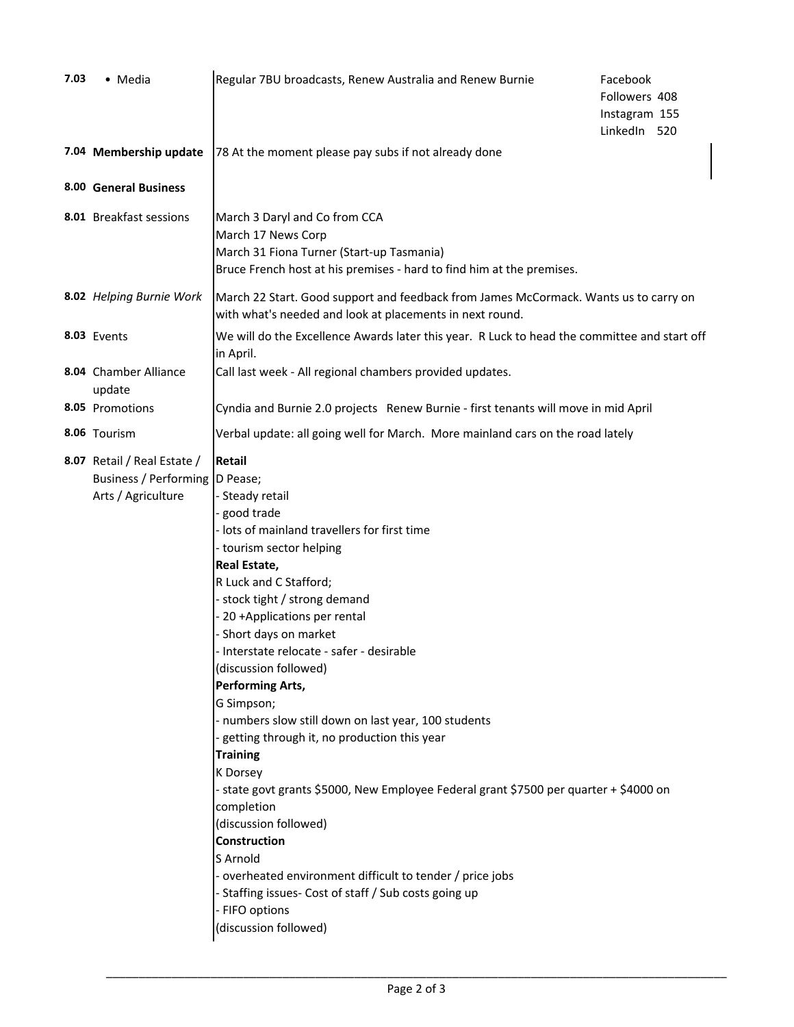| 7.03 | • Media                                                                               | Regular 7BU broadcasts, Renew Australia and Renew Burnie                                                                                                                                                                                                                                                                                                                                                                                                                                                                                                                                                                                                                                                                                                                                                                                      | Facebook<br>Followers 408<br>Instagram 155<br>LinkedIn 520 |
|------|---------------------------------------------------------------------------------------|-----------------------------------------------------------------------------------------------------------------------------------------------------------------------------------------------------------------------------------------------------------------------------------------------------------------------------------------------------------------------------------------------------------------------------------------------------------------------------------------------------------------------------------------------------------------------------------------------------------------------------------------------------------------------------------------------------------------------------------------------------------------------------------------------------------------------------------------------|------------------------------------------------------------|
|      | 7.04 Membership update                                                                | 78 At the moment please pay subs if not already done                                                                                                                                                                                                                                                                                                                                                                                                                                                                                                                                                                                                                                                                                                                                                                                          |                                                            |
|      | 8.00 General Business                                                                 |                                                                                                                                                                                                                                                                                                                                                                                                                                                                                                                                                                                                                                                                                                                                                                                                                                               |                                                            |
|      | 8.01 Breakfast sessions                                                               | March 3 Daryl and Co from CCA<br>March 17 News Corp<br>March 31 Fiona Turner (Start-up Tasmania)<br>Bruce French host at his premises - hard to find him at the premises.                                                                                                                                                                                                                                                                                                                                                                                                                                                                                                                                                                                                                                                                     |                                                            |
|      | 8.02 Helping Burnie Work                                                              | March 22 Start. Good support and feedback from James McCormack. Wants us to carry on<br>with what's needed and look at placements in next round.                                                                                                                                                                                                                                                                                                                                                                                                                                                                                                                                                                                                                                                                                              |                                                            |
|      | 8.03 Events                                                                           | We will do the Excellence Awards later this year. R Luck to head the committee and start off<br>in April.                                                                                                                                                                                                                                                                                                                                                                                                                                                                                                                                                                                                                                                                                                                                     |                                                            |
|      | 8.04 Chamber Alliance<br>update                                                       | Call last week - All regional chambers provided updates.                                                                                                                                                                                                                                                                                                                                                                                                                                                                                                                                                                                                                                                                                                                                                                                      |                                                            |
|      | 8.05 Promotions                                                                       | Cyndia and Burnie 2.0 projects Renew Burnie - first tenants will move in mid April                                                                                                                                                                                                                                                                                                                                                                                                                                                                                                                                                                                                                                                                                                                                                            |                                                            |
|      | 8.06 Tourism                                                                          | Verbal update: all going well for March. More mainland cars on the road lately                                                                                                                                                                                                                                                                                                                                                                                                                                                                                                                                                                                                                                                                                                                                                                |                                                            |
|      | 8.07 Retail / Real Estate /<br>Business / Performing   D Pease;<br>Arts / Agriculture | Retail<br>- Steady retail<br>good trade<br>- lots of mainland travellers for first time<br>- tourism sector helping<br>Real Estate,<br>R Luck and C Stafford;<br>- stock tight / strong demand<br>- 20 +Applications per rental<br>- Short days on market<br>- Interstate relocate - safer - desirable<br>(discussion followed)<br><b>Performing Arts,</b><br>G Simpson;<br>- numbers slow still down on last year, 100 students<br>- getting through it, no production this year<br><b>Training</b><br>K Dorsey<br>- state govt grants \$5000, New Employee Federal grant \$7500 per quarter + \$4000 on<br>completion<br>(discussion followed)<br>Construction<br>S Arnold<br>- overheated environment difficult to tender / price jobs<br>- Staffing issues- Cost of staff / Sub costs going up<br>- FIFO options<br>(discussion followed) |                                                            |